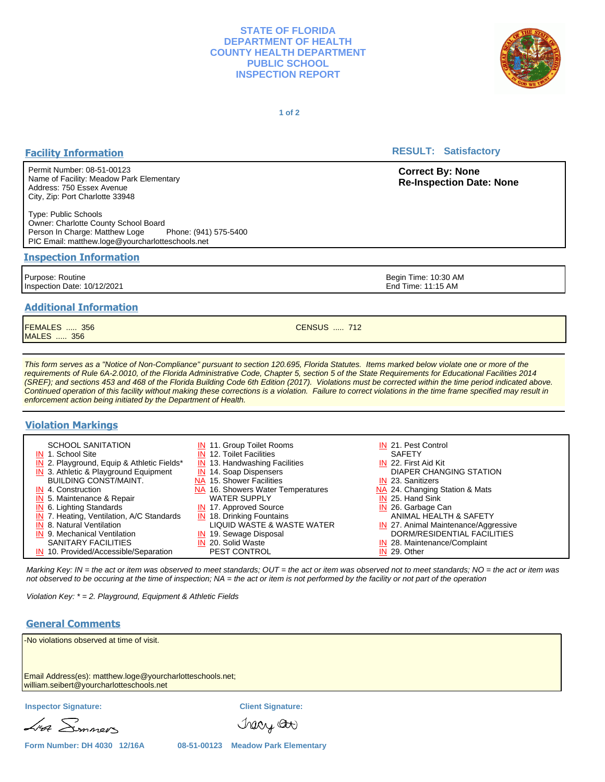#### **STATE OF FLORIDA DEPARTMENT OF HEALTH COUNTY HEALTH DEPARTMENT PUBLIC SCHOOL INSPECTION REPORT**



**1 of 2**

# **Facility Information**

Permit Number: 08-51-00123 Name of Facility: Meadow Park Elementary Address: 750 Essex Avenue City, Zip: Port Charlotte 33948

Type: Public Schools Owner: Charlotte County School Board Person In Charge: Matthew Loge Phone: (941) 575-5400 PIC Email: matthew.loge@yourcharlotteschools.net

#### **Inspection Information**

Purpose: Routine Inspection Date: 10/12/2021

# **Additional Information**

FEMALES ..... 356 MALES ..... 356

This form serves as a "Notice of Non-Compliance" pursuant to section 120.695, Florida Statutes. Items marked below violate one or more of the requirements of Rule 6A-2.0010, of the Florida Administrative Code, Chapter 5, section 5 of the State Requirements for Educational Facilities 2014 (SREF); and sections 453 and 468 of the Florida Building Code 6th Edition (2017). Violations must be corrected within the time period indicated above. Continued operation of this facility without making these corrections is a violation. Failure to correct violations in the time frame specified may result in enforcement action being initiated by the Department of Health.

# **Violation Markings**

| <b>SCHOOL SANITATION</b>                   | <b>IN</b> 11. Group Toilet Rooms  | IN 21. Pest Control                  |
|--------------------------------------------|-----------------------------------|--------------------------------------|
| IN 1. School Site                          | <b>IN 12. Toilet Facilities</b>   | <b>SAFETY</b>                        |
| IN 2. Playground, Equip & Athletic Fields* | $IN$ 13. Handwashing Facilities   | <b>IN 22. First Aid Kit</b>          |
| $IN$ 3. Athletic & Playground Equipment    | <b>IN</b> 14. Soap Dispensers     | DIAPER CHANGING STATION              |
| <b>BUILDING CONST/MAINT.</b>               | NA 15. Shower Facilities          | IN 23. Sanitizers                    |
| IN 4. Construction                         | NA 16. Showers Water Temperatures | NA 24. Changing Station & Mats       |
| <b>IN</b> 5. Maintenance & Repair          | <b>WATER SUPPLY</b>               | IN 25. Hand Sink                     |
| $IN$ 6. Lighting Standards                 | <b>IN</b> 17. Approved Source     | IN 26. Garbage Can                   |
| IN 7. Heating, Ventilation, A/C Standards  | <b>IN</b> 18. Drinking Fountains  | ANIMAL HEALTH & SAFETY               |
| <b>IN</b> 8. Natural Ventilation           | LIQUID WASTE & WASTE WATER        | IN 27. Animal Maintenance/Aggressive |
| <b>IN</b> 9. Mechanical Ventilation        | IN 19. Sewage Disposal            | DORM/RESIDENTIAL FACILITIES          |
| <b>SANITARY FACILITIES</b>                 | IN 20. Solid Waste                | IN 28. Maintenance/Complaint         |
| IN 10. Provided/Accessible/Separation      | <b>PEST CONTROL</b>               | IN 29. Other                         |

Marking Key: IN = the act or item was observed to meet standards; OUT = the act or item was observed not to meet standards; NO = the act or item was not observed to be occuring at the time of inspection; NA = the act or item is not performed by the facility or not part of the operation

Violation Key: \* = 2. Playground, Equipment & Athletic Fields

### **General Comments**

| -No violations observed at time of visit.                                                             |                                    |                          |  |  |  |
|-------------------------------------------------------------------------------------------------------|------------------------------------|--------------------------|--|--|--|
| Email Address(es): matthew.loge@yourcharlotteschools.net;<br>william.seibert@yourcharlotteschools.net |                                    |                          |  |  |  |
| <b>Inspector Signature:</b>                                                                           |                                    | <b>Client Signature:</b> |  |  |  |
| Lisa Simmers                                                                                          |                                    | Tracy Or                 |  |  |  |
| Form Number: DH 4030 12/16A                                                                           | 08-51-00123 Meadow Park Elementary |                          |  |  |  |

**RESULT: Satisfactory** 

**Correct By: None Re-Inspection Date: None**

Begin Time: 10:30 AM End Time: 11:15 AM

CENSUS ..... 712